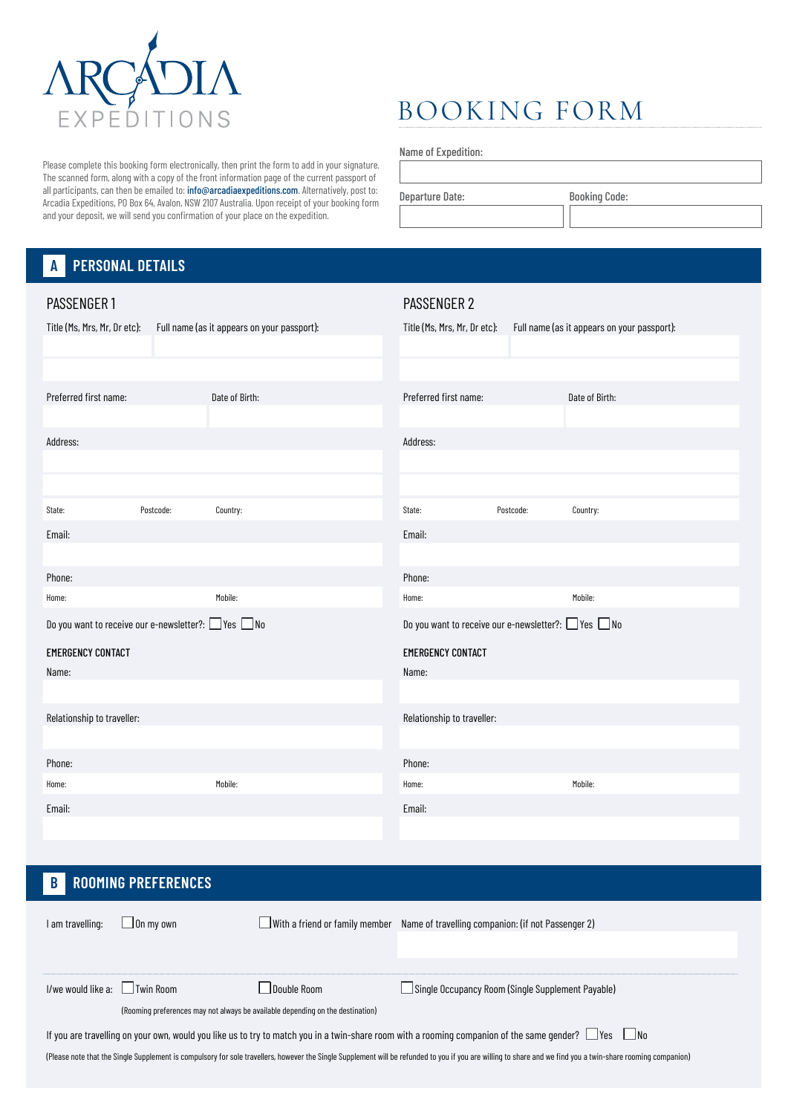

# BOOKING FORM

Name of Expedition:

Departure Date: Booking Code:

The scanned form, along with a copy of the front information page of the current passport of all participants, can then be emailed to: info@arcadiaexpeditions.com. Alternatively, post to: Arcadia Expeditions, PO Box 64, Avalon, NSW 2107 Australia. Upon receipt of your booking form and your deposit, we will send you confirmation of your place on the expedition.

Please complete this booking form electronically, then print the form to add in your signature.

#### **A PERSONAL DETAILS**

| PASSENGER 1                                                    |           |                                             | PASSENGER 2                                                    |           |                                             |
|----------------------------------------------------------------|-----------|---------------------------------------------|----------------------------------------------------------------|-----------|---------------------------------------------|
| Title (Ms, Mrs, Mr, Dr etc):                                   |           | Full name (as it appears on your passport): | Title (Ms, Mrs, Mr, Dr etc):                                   |           | Full name (as it appears on your passport): |
|                                                                |           |                                             |                                                                |           |                                             |
|                                                                |           |                                             |                                                                |           |                                             |
| Preferred first name:                                          |           | Date of Birth:                              | Preferred first name:                                          |           | Date of Birth:                              |
|                                                                |           |                                             |                                                                |           |                                             |
| Address:                                                       |           |                                             | Address:                                                       |           |                                             |
|                                                                |           |                                             |                                                                |           |                                             |
|                                                                |           |                                             |                                                                |           |                                             |
| State:                                                         | Postcode: | Country:                                    | State:                                                         | Postcode: | Country:                                    |
| Email:                                                         |           |                                             | Email:                                                         |           |                                             |
|                                                                |           |                                             |                                                                |           |                                             |
| Phone:                                                         |           |                                             | Phone:                                                         |           |                                             |
| Home:                                                          |           | Mobile:                                     | Home:                                                          |           | Mobile:                                     |
|                                                                |           |                                             |                                                                |           |                                             |
| Do you want to receive our e-newsletter?: $\Box$ Yes $\Box$ No |           |                                             | Do you want to receive our e-newsletter?: $\Box$ Yes $\Box$ No |           |                                             |
| <b>EMERGENCY CONTACT</b>                                       |           |                                             | <b>EMERGENCY CONTACT</b>                                       |           |                                             |
| Name:                                                          |           |                                             | Name:                                                          |           |                                             |
|                                                                |           |                                             |                                                                |           |                                             |
| Relationship to traveller:                                     |           |                                             | Relationship to traveller:                                     |           |                                             |
|                                                                |           |                                             |                                                                |           |                                             |
| Phone:                                                         |           |                                             | Phone:                                                         |           |                                             |
| Home:                                                          |           | Mobile:                                     | Home:                                                          |           | Mobile:                                     |
| Email:                                                         |           |                                             | Email:                                                         |           |                                             |
|                                                                |           |                                             |                                                                |           |                                             |

# **B ROOMING PREFERENCES**

| I am travelling:                                                                                                                                                                                             | J On mv own                                                                    | $\Box$ With a friend or family member | Name of travelling companion: (if not Passenger 2)       |  |  |  |  |
|--------------------------------------------------------------------------------------------------------------------------------------------------------------------------------------------------------------|--------------------------------------------------------------------------------|---------------------------------------|----------------------------------------------------------|--|--|--|--|
|                                                                                                                                                                                                              |                                                                                |                                       |                                                          |  |  |  |  |
|                                                                                                                                                                                                              |                                                                                |                                       |                                                          |  |  |  |  |
| I/we would like a:     Twin Room                                                                                                                                                                             |                                                                                | Double Room                           | $\Box$ Single Occupancy Room (Single Supplement Payable) |  |  |  |  |
|                                                                                                                                                                                                              | (Rooming preferences may not always be available depending on the destination) |                                       |                                                          |  |  |  |  |
| If you are travelling on your own, would you like us to try to match you in a twin-share room with a rooming companion of the same gender? $\Box$ Yes $\Box$ No                                              |                                                                                |                                       |                                                          |  |  |  |  |
| (Please note that the Single Supplement is compulsory for sole travellers, however the Single Supplement will be refunded to you if you are willing to share and we find you a twin-share rooming companion) |                                                                                |                                       |                                                          |  |  |  |  |
|                                                                                                                                                                                                              |                                                                                |                                       |                                                          |  |  |  |  |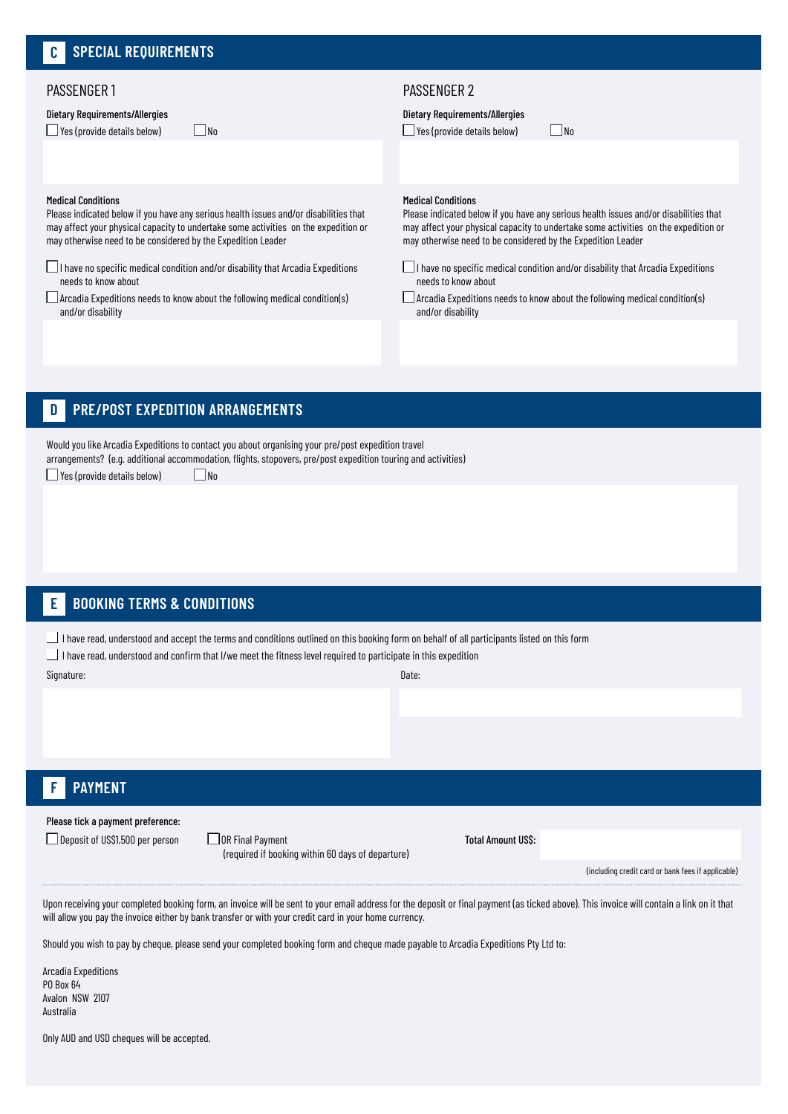# PASSENGER 1

Dietary Requirements/Allergies

 $\Box$  Yes (provide details below)  $\Box$  No

# PASSENGER 2

Dietary Requirements/Allergies

 $\Box$  Yes (provide details below)  $\Box$  No

# Medical Conditions

Please indicated below if you have any serious health issues and/or disabilities that may affect your physical capacity to undertake some activities on the expedition or may otherwise need to be considered by the Expedition Leader

 $\Box$ I have no specific medical condition and/or disability that Arcadia Expeditions needs to know about

 $\Box$  Arcadia Expeditions needs to know about the following medical condition(s) and/or disability

### Medical Conditions

Please indicated below if you have any serious health issues and/or disabilities that may affect your physical capacity to undertake some activities on the expedition or may otherwise need to be considered by the Expedition Leader

 $\Box$ I have no specific medical condition and/or disability that Arcadia Expeditions needs to know about

Arcadia Expeditions needs to know about the following medical condition(s) and/or disability

#### **D PRE/POST EXPEDITION ARRANGEMENTS**

Would you like Arcadia Expeditions to contact you about organising your pre/post expedition travel arrangements? (e.g. additional accommodation, flights, stopovers, pre/post expedition touring and activities)  $\Box$  Yes (provide details below)  $\Box$  No

#### **E BOOKING TERMS & CONDITIONS**

I have read, understood and accept the terms and conditions outlined on this booking form on behalf of all participants listed on this form

I have read, understood and confirm that I/we meet the fitness level required to participate in this expedition

Signature: Date:

#### **F PAYMENT**

Please tick a payment preference:

 $\Box$  Deposit of US\$1,500 per person  $\Box$  OR Final Payment

(required if booking within 60 days of departure)

Total Amount US\$:

(including credit card or bank fees if applicable)

Upon receiving your completed booking form, an invoice will be sent to your email address for the deposit or final payment (as ticked above). This invoice will contain a link on it that will allow you pay the invoice either by bank transfer or with your credit card in your home currency.

Should you wish to pay by cheque, please send your completed booking form and cheque made payable to Arcadia Expeditions Pty Ltd to:

Arcadia Expeditions PO Box 64 Avalon NSW 2107 Australia

Only AUD and USD cheques will be accepted.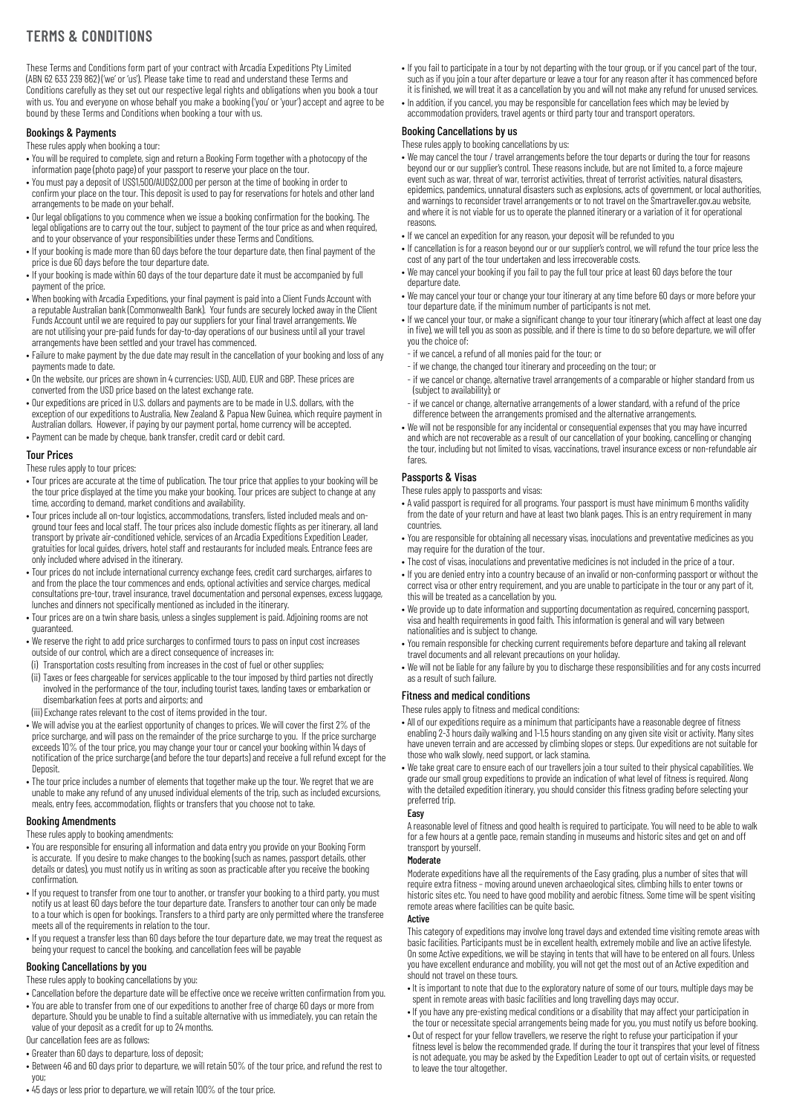# **TERMS & CONDITIONS**

These Terms and Conditions form part of your contract with Arcadia Expeditions Pty Limited (ABN 62 633 239 862) ('we' or 'us'). Please take time to read and understand these Terms and Conditions carefully as they set out our respective legal rights and obligations when you book a tour with us. You and everyone on whose behalf you make a booking ('you' or 'your') accept and agree to be bound by these Terms and Conditions when booking a tour with us.

# Bookings & Payments

These rules apply when booking a tour:

- You will be required to complete, sign and return a Booking Form together with a photocopy of the information page (photo page) of your passport to reserve your place on the tour.
- You must pay a deposit of US\$1,500/AUD\$2,000 per person at the time of booking in order to confirm your place on the tour. This deposit is used to pay for reservations for hotels and other land arrangements to be made on your behalf.
- Our legal obligations to you commence when we issue a booking confirmation for the booking. The legal obligations are to carry out the tour, subject to payment of the tour price as and when required, and to your observance of your responsibilities under these Terms and Conditions.
- If your booking is made more than 60 days before the tour departure date, then final payment of the price is due 60 days before the tour departure date.
- If your booking is made within 60 days of the tour departure date it must be accompanied by full payment of the price.
- When booking with Arcadia Expeditions, your final payment is paid into a Client Funds Account with a reputable Australian bank (Commonwealth Bank). Your funds are securely locked away in the Client Funds Account until we are required to pay our suppliers for your final travel arrangements. We are not utilising your pre-paid funds for day-to-day operations of our business until all your travel arrangements have been settled and your travel has commenced.
- Failure to make payment by the due date may result in the cancellation of your booking and loss of any payments made to date.
- On the website, our prices are shown in 4 currencies: USD, AUD, EUR and GBP. These prices are converted from the USD price based on the latest exchange rate.
- Our expeditions are priced in U.S. dollars and payments are to be made in U.S. dollars, with the exception of our expeditions to Australia, New Zealand & Papua New Guinea, which require payment in
- Australian dollars. However, if paying by our payment portal, home currency will be accepted. • Payment can be made by cheque, bank transfer, credit card or debit card.

# Tour Prices

These rules apply to tour prices:

- Tour prices are accurate at the time of publication. The tour price that applies to your booking will be the tour price displayed at the time you make your booking. Tour prices are subject to change at any time, according to demand, market conditions and availability.
- Tour prices include all on-tour logistics, accommodations, transfers, listed included meals and onground tour fees and local staff. The tour prices also include domestic flights as per itinerary, all land transport by private air-conditioned vehicle, services of an Arcadia Expeditions Expedition Leader, gratuities for local guides, drivers, hotel staff and restaurants for included meals. Entrance fees are only included where advised in the itinerary.
- Tour prices do not include international currency exchange fees, credit card surcharges, airfares to and from the place the tour commences and ends, optional activities and service charges, medical consultations pre-tour, travel insurance, travel documentation and personal expenses, excess luggage, lunches and dinners not specifically mentioned as included in the itinerary.
- Tour prices are on a twin share basis, unless a singles supplement is paid. Adjoining rooms are not guaranteed.
- We reserve the right to add price surcharges to confirmed tours to pass on input cost increases outside of our control, which are a direct consequence of increases in:
- (i) Transportation costs resulting from increases in the cost of fuel or other supplies;
- (ii) Taxes or fees chargeable for services applicable to the tour imposed by third parties not directly involved in the performance of the tour, including tourist taxes, landing taxes or embarkation or disembarkation fees at ports and airports; and
- (iii) Exchange rates relevant to the cost of items provided in the tour.
- We will advise you at the earliest opportunity of changes to prices. We will cover the first 2% of the price surcharge, and will pass on the remainder of the price surcharge to you. If the price surcharge exceeds 10% of the tour price, you may change your tour or cancel your booking within 14 days of notification of the price surcharge (and before the tour departs) and receive a full refund except for the Deposit.
- The tour price includes a number of elements that together make up the tour. We regret that we are unable to make any refund of any unused individual elements of the trip, such as included excursions, meals, entry fees, accommodation, flights or transfers that you choose not to take.

#### Booking Amendments

These rules apply to booking amendments:

- You are responsible for ensuring all information and data entry you provide on your Booking Form is accurate. If you desire to make changes to the booking (such as names, passport details, other details or dates), you must notify us in writing as soon as practicable after you receive the booking confirmation.
- If you request to transfer from one tour to another, or transfer your booking to a third party, you must notify us at least 60 days before the tour departure date. Transfers to another tour can only be made to a tour which is open for bookings. Transfers to a third party are only permitted where the transferee meets all of the requirements in relation to the tour.
- If you request a transfer less than 60 days before the tour departure date, we may treat the request as being your request to cancel the booking, and cancellation fees will be payable

# Booking Cancellations by you

These rules apply to booking cancellations by you:

- Cancellation before the departure date will be effective once we receive written confirmation from you.
- You are able to transfer from one of our expeditions to another free of charge 60 days or more from departure. Should you be unable to find a suitable alternative with us immediately, you can retain the value of your deposit as a credit for up to 24 months.
- Our cancellation fees are as follows:
- Greater than 60 days to departure, loss of deposit;
- Between 46 and 60 days prior to departure, we will retain 50% of the tour price, and refund the rest to you;
- 45 days or less prior to departure, we will retain 100% of the tour price.
- If you fail to participate in a tour by not departing with the tour group, or if you cancel part of the tour, such as if you join a tour after departure or leave a tour for any reason after it has commenced before it is finished, we will treat it as a cancellation by you and will not make any refund for unused services.
- In addition, if you cancel, you may be responsible for cancellation fees which may be levied by accommodation providers, travel agents or third party tour and transport operators.

# Booking Cancellations by us

These rules apply to booking cancellations by us:

- We may cancel the tour / travel arrangements before the tour departs or during the tour for reasons beyond our or our supplier's control. These reasons include, but are not limited to, a force majeure event such as war, threat of war, terrorist activities, threat of terrorist activities, natural disasters, epidemics, pandemics, unnatural disasters such as explosions, acts of government, or local authorities, and warnings to reconsider travel arrangements or to not travel on the Smartraveller.gov.au website, and where it is not viable for us to operate the planned itinerary or a variation of it for operational reasons.
- If we cancel an expedition for any reason, your deposit will be refunded to you
- If cancellation is for a reason beyond our or our supplier's control, we will refund the tour price less the cost of any part of the tour undertaken and less irrecoverable costs.
- We may cancel your booking if you fail to pay the full tour price at least 60 days before the tour departure date.
- We may cancel your tour or change your tour itinerary at any time before 60 days or more before your tour departure date, if the minimum number of participants is not met.
- If we cancel your tour, or make a significant change to your tour itinerary (which affect at least one day in five), we will tell you as soon as possible, and if there is time to do so before departure, we will offer you the choice of:
- if we cancel, a refund of all monies paid for the tour; or
- if we change, the changed tour itinerary and proceeding on the tour; or
- if we cancel or change, alternative travel arrangements of a comparable or higher standard from us (subject to availability); or
- if we cancel or change, alternative arrangements of a lower standard, with a refund of the price difference between the arrangements promised and the alternative arrangements.
- We will not be responsible for any incidental or consequential expenses that you may have incurred and which are not recoverable as a result of our cancellation of your booking, cancelling or changing the tour, including but not limited to visas, vaccinations, travel insurance excess or non-refundable air fares.

# Passports & Visas

These rules apply to passports and visas:

- A valid passport is required for all programs. Your passport is must have minimum 6 months validity from the date of your return and have at least two blank pages. This is an entry requirement in many countries.
- You are responsible for obtaining all necessary visas, inoculations and preventative medicines as you may require for the duration of the tour.
- The cost of visas, inoculations and preventative medicines is not included in the price of a tour.
- If you are denied entry into a country because of an invalid or non-conforming passport or without the correct visa or other entry requirement, and you are unable to participate in the tour or any part of it, this will be treated as a cancellation by you.
- We provide up to date information and supporting documentation as required, concerning passport, visa and health requirements in good faith. This information is general and will vary between nationalities and is subject to change.
- You remain responsible for checking current requirements before departure and taking all relevant travel documents and all relevant precautions on your holiday.
- We will not be liable for any failure by you to discharge these responsibilities and for any costs incurred as a result of such failure.

#### Fitness and medical conditions

These rules apply to fitness and medical conditions:

- All of our expeditions require as a minimum that participants have a reasonable degree of fitness enabling 2-3 hours daily walking and 1-1.5 hours standing on any given site visit or activity. Many sites have uneven terrain and are accessed by climbing slopes or steps. Our expeditions are not suitable for those who walk slowly, need support, or lack stamina.
- We take great care to ensure each of our travellers join a tour suited to their physical capabilities. We grade our small group expeditions to provide an indication of what level of fitness is required. Along with the detailed expedition itinerary, you should consider this fitness grading before selecting your preferred trip.

# Easy

A reasonable level of fitness and good health is required to participate. You will need to be able to walk for a few hours at a gentle pace, remain standing in museums and historic sites and get on and off transport by yourself.

#### Moderate

Moderate expeditions have all the requirements of the Easy grading, plus a number of sites that will require extra fitness – moving around uneven archaeological sites, climbing hills to enter towns or historic sites etc. You need to have good mobility and aerobic fitness. Some time will be spent visiting remote areas where facilities can be quite basic.

#### **Active**

This category of expeditions may involve long travel days and extended time visiting remote areas with basic facilities. Participants must be in excellent health, extremely mobile and live an active lifestyle. On some Active expeditions, we will be staying in tents that will have to be entered on all fours. Unless you have excellent endurance and mobility, you will not get the most out of an Active expedition and should not travel on these tours.

- It is important to note that due to the exploratory nature of some of our tours, multiple days may be spent in remote areas with basic facilities and long travelling days may occur.
- If you have any pre-existing medical conditions or a disability that may affect your participation in the tour or necessitate special arrangements being made for you, you must notify us before booking.
- Out of respect for your fellow travellers, we reserve the right to refuse your participation if your fitness level is below the recommended grade. If during the tour it transpires that your level of fitness is not adequate, you may be asked by the Expedition Leader to opt out of certain visits, or requested to leave the tour altogether.